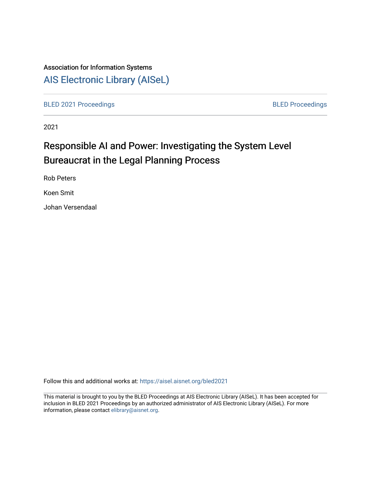# Association for Information Systems

# [AIS Electronic Library \(AISeL\)](https://aisel.aisnet.org/)

[BLED 2021 Proceedings](https://aisel.aisnet.org/bled2021) **BLED Proceedings** 

2021

# Responsible AI and Power: Investigating the System Level Bureaucrat in the Legal Planning Process

Rob Peters

Koen Smit

Johan Versendaal

Follow this and additional works at: [https://aisel.aisnet.org/bled2021](https://aisel.aisnet.org/bled2021?utm_source=aisel.aisnet.org%2Fbled2021%2F22&utm_medium=PDF&utm_campaign=PDFCoverPages) 

This material is brought to you by the BLED Proceedings at AIS Electronic Library (AISeL). It has been accepted for inclusion in BLED 2021 Proceedings by an authorized administrator of AIS Electronic Library (AISeL). For more information, please contact [elibrary@aisnet.org.](mailto:elibrary@aisnet.org%3E)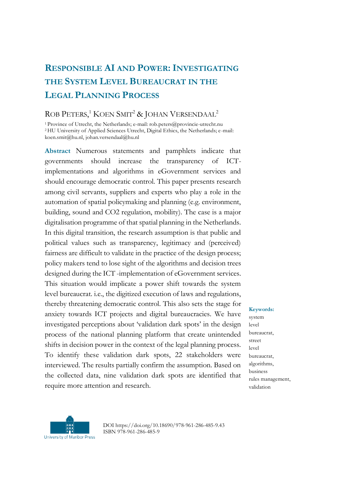# **RESPONSIBLE AI AND POWER:INVESTIGATING THE SYSTEM LEVEL BUREAUCRAT IN THE LEGAL PLANNING PROCESS**

# ROB PETERS,<sup>1</sup> KOEN SMIT<sup>2</sup> & JOHAN VERSENDAAL<sup>2</sup>

<sup>1</sup>Province of Utrecht, the Netherlands; e-mail: rob.peters@provincie-utrecht.nu <sup>2</sup>HU University of Applied Sciences Utrecht, Digital Ethics, the Netherlands; e -mail: koen.smit@hu.nl, johan.versendaal@hu.nl

**Abstract** Numerous statements and pamphlets indicate that governments should increase the transparency of ICTimplementations and algorithms in eGovernment services and should encourage democratic control. This paper presents research among civil servants, suppliers and experts who play a role in the automation of spatial policymaking and planning (e.g. environment, building, sound and CO2 regulation, mobility). The case is a major digitalisation programme of that spatial planning in the Netherlands. In this digital transition, the research assumption is that public and political values such as transparency, legitimacy and (perceived) fairness are difficult to validate in the practice of the design process; policy makers tend to lose sight of the algorithms and decision trees designed during the ICT -implementation of eGovernment services. This situation would implicate a power shift towards the system level bureaucrat. i.e., the digitized execution of laws and regulations, thereby threatening democratic control. This also sets the stage for anxiety towards ICT projects and digital bureaucracies. We have investigated perceptions about 'validation dark spots' in the design process of the national planning platform that create unintended shifts in decision power in the context of the legal planning process. To identify these validation dark spots, 22 stakeholders were interviewed. The results partially confirm the assumption. Based on the collected data, nine validation dark spots are identified that require more attention and research.

**Keywords:** system level bureaucrat, street level bureaucrat, algorithms, business rules management, validation



DOI https://doi.org/10.18690/978-961-286-485-9.43 ISBN 978-961-286-485-9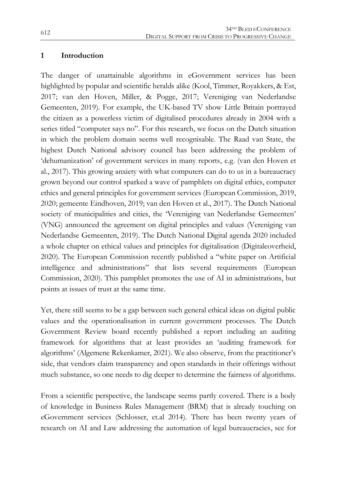#### **1 Introduction**

The danger of unattainable algorithms in eGovernment services has been highlighted by popular and scientific heralds alike (Kool, Timmer, Royakkers, & Est, 2017; van den Hoven, Miller, & Pogge, 2017; Vereniging van Nederlandse Gemeenten, 2019). For example, the UK-based TV show Little Britain portrayed the citizen as a powerless victim of digitalised procedures already in 2004 with a series titled "computer says no". For this research, we focus on the Dutch situation in which the problem domain seems well recognisable. The Raad van State, the highest Dutch National advisory council has been addressing the problem of 'dehumanization' of government services in many reports, e.g. (van den Hoven et al., 2017). This growing anxiety with what computers can do to us in a bureaucracy grown beyond our control sparked a wave of pamphlets on digital ethics, computer ethics and general principles for government services (European Commission, 2019, 2020; gemeente Eindhoven, 2019; van den Hoven et al., 2017). The Dutch National society of municipalities and cities, the 'Vereniging van Nederlandse Gemeenten' (VNG) announced the agreement on digital principles and values (Vereniging van Nederlandse Gemeenten, 2019). The Dutch National Digital agenda 2020 included a whole chapter on ethical values and principles for digitalisation (Digitaleoverheid, 2020). The European Commission recently published a "white paper on Artificial intelligence and administrations" that lists several requirements (European Commission, 2020). This pamphlet promotes the use of AI in administrations, but points at issues of trust at the same time.

Yet, there still seems to be a gap between such general ethical ideas on digital public values and the operationalisation in current government processes. The Dutch Government Review board recently published a report including an auditing framework for algorithms that at least provides an 'auditing framework for algorithms' (Algemene Rekenkamer, 2021). We also observe, from the practitioner's side, that vendors claim transparency and open standards in their offerings without much substance, so one needs to dig deeper to determine the fairness of algorithms.

From a scientific perspective, the landscape seems partly covered. There is a body of knowledge in Business Rules Management (BRM) that is already touching on eGovernment services (Schlosser, et.al 2014). There has been twenty years of research on AI and Law addressing the automation of legal bureaucracies, see for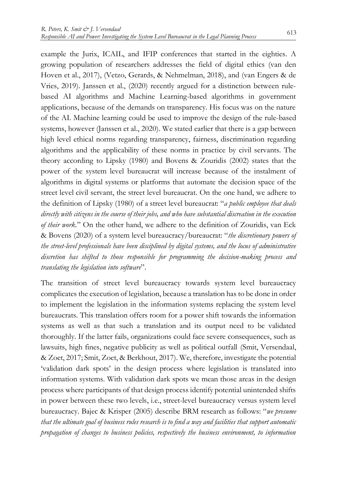example the Jurix, ICAIL, and IFIP conferences that started in the eighties. A growing population of researchers addresses the field of digital ethics (van den Hoven et al., 2017), (Vetzo, Gerards, & Nehmelman, 2018), and (van Engers & de Vries, 2019). Janssen et al., (2020) recently argued for a distinction between rulebased AI algorithms and Machine Learning-based algorithms in government applications, because of the demands on transparency. His focus was on the nature of the AI. Machine learning could be used to improve the design of the rule-based systems, however (Janssen et al., 2020). We stated earlier that there is a gap between high level ethical norms regarding transparency, fairness, discrimination regarding algorithms and the applicability of these norms in practice by civil servants. The theory according to Lipsky (1980) and Bovens & Zouridis (2002) states that the power of the system level bureaucrat will increase because of the instalment of algorithms in digital systems or platforms that automate the decision space of the street level civil servant, the street level bureaucrat. On the one hand, we adhere to the definition of Lipsky (1980) of a street level bureaucrat: "*a public employee that deals directly with citizens in the course of their jobs, and who have substantial discreation in the execution of their work.*" On the other hand, we adhere to the definition of Zouridis, van Eck & Bovens (2020) of a system level bureaucracy/bureaucrat: "*the discretionary powers of the street-level professionals have been disciplined by digital systems, and the locus of administrative discretion has shifted to those responsible for programming the decision-making process and translating the legislation into software*".

The transition of street level bureaucracy towards system level bureaucracy complicates the execution of legislation, because a translation has to be done in order to implement the legislation in the information systems replacing the system level bureaucrats. This translation offers room for a power shift towards the information systems as well as that such a translation and its output need to be validated thoroughly. If the latter fails, organizations could face severe consequences, such as lawsuits, high fines, negative publicity as well as political outfall (Smit, Versendaal, & Zoet, 2017; Smit, Zoet, & Berkhout, 2017). We, therefore, investigate the potential 'validation dark spots' in the design process where legislation is translated into information systems. With validation dark spots we mean those areas in the design process where participants of that design process identify potential unintended shifts in power between these two levels, i.e., street-level bureaucracy versus system level bureaucracy. Bajec & Krisper (2005) describe BRM research as follows: "*we presume that the ultimate goal of business rules research is to find a way and facilities that support automatic propagation of changes to business policies, respectively the business environment, to information*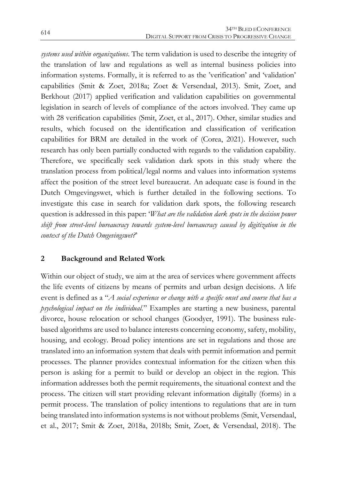*systems used within organizations*. The term validation is used to describe the integrity of the translation of law and regulations as well as internal business policies into information systems. Formally, it is referred to as the 'verification' and 'validation' capabilities (Smit & Zoet, 2018a; Zoet & Versendaal, 2013). Smit, Zoet, and Berkhout (2017) applied verification and validation capabilities on governmental legislation in search of levels of compliance of the actors involved. They came up with 28 verification capabilities (Smit, Zoet, et al., 2017). Other, similar studies and results, which focused on the identification and classification of verification capabilities for BRM are detailed in the work of (Corea, 2021). However, such research has only been partially conducted with regards to the validation capability. Therefore, we specifically seek validation dark spots in this study where the translation process from political/legal norms and values into information systems affect the position of the street level bureaucrat. An adequate case is found in the Dutch Omgevingswet, which is further detailed in the following sections. To investigate this case in search for validation dark spots, the following research question is addressed in this paper: '*What are the validation dark spots in the decision power shift from street-level bureaucracy towards system-level bureaucracy caused by digitization in the context of the Dutch Omgevingswet?*'

# **2 Background and Related Work**

Within our object of study, we aim at the area of services where government affects the life events of citizens by means of permits and urban design decisions. A life event is defined as a "*A social experience or change with a specific onset and course that has a psychological impact on the individual.*" Examples are starting a new business, parental divorce, house relocation or school changes (Goodyer, 1991). The business rulebased algorithms are used to balance interests concerning economy, safety, mobility, housing, and ecology. Broad policy intentions are set in regulations and those are translated into an information system that deals with permit information and permit processes. The planner provides contextual information for the citizen when this person is asking for a permit to build or develop an object in the region. This information addresses both the permit requirements, the situational context and the process. The citizen will start providing relevant information digitally (forms) in a permit process. The translation of policy intentions to regulations that are in turn being translated into information systems is not without problems (Smit, Versendaal, et al., 2017; Smit & Zoet, 2018a, 2018b; Smit, Zoet, & Versendaal, 2018). The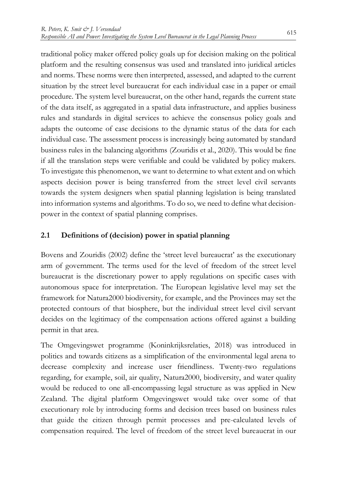traditional policy maker offered policy goals up for decision making on the political platform and the resulting consensus was used and translated into juridical articles and norms. These norms were then interpreted, assessed, and adapted to the current situation by the street level bureaucrat for each individual case in a paper or email procedure. The system level bureaucrat, on the other hand, regards the current state of the data itself, as aggregated in a spatial data infrastructure, and applies business rules and standards in digital services to achieve the consensus policy goals and adapts the outcome of case decisions to the dynamic status of the data for each individual case. The assessment process is increasingly being automated by standard business rules in the balancing algorithms (Zouridis et al., 2020). This would be fine if all the translation steps were verifiable and could be validated by policy makers. To investigate this phenomenon, we want to determine to what extent and on which aspects decision power is being transferred from the street level civil servants towards the system designers when spatial planning legislation is being translated into information systems and algorithms. To do so, we need to define what decisionpower in the context of spatial planning comprises.

# **2.1 Definitions of (decision) power in spatial planning**

Bovens and Zouridis (2002) define the 'street level bureaucrat' as the executionary arm of government. The terms used for the level of freedom of the street level bureaucrat is the discretionary power to apply regulations on specific cases with autonomous space for interpretation. The European legislative level may set the framework for Natura2000 biodiversity, for example, and the Provinces may set the protected contours of that biosphere, but the individual street level civil servant decides on the legitimacy of the compensation actions offered against a building permit in that area.

The Omgevingswet programme (Koninkrijksrelaties, 2018) was introduced in politics and towards citizens as a simplification of the environmental legal arena to decrease complexity and increase user friendliness. Twenty-two regulations regarding, for example, soil, air quality, Natura2000, biodiversity, and water quality would be reduced to one all-encompassing legal structure as was applied in New Zealand. The digital platform Omgevingswet would take over some of that executionary role by introducing forms and decision trees based on business rules that guide the citizen through permit processes and pre-calculated levels of compensation required. The level of freedom of the street level bureaucrat in our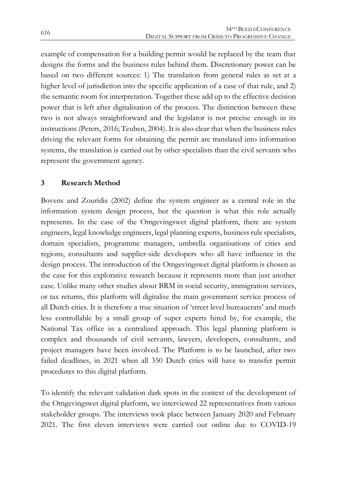example of compensation for a building permit would be replaced by the team that designs the forms and the business rules behind them. Discretionary power can be based on two different sources: 1) The translation from general rules as set at a higher level of jurisdiction into the specific application of a case of that rule, and 2) the semantic room for interpretation. Together these add up to the effective decision power that is left after digitalisation of the process. The distinction between these two is not always straightforward and the legislator is not precise enough in its instructions (Peters, 2016; Teuben, 2004). It is also clear that when the business rules driving the relevant forms for obtaining the permit are translated into information systems, the translation is carried out by other specialists than the civil servants who represent the government agency.

# **3 Research Method**

Bovens and Zouridis (2002) define the system engineer as a central role in the information system design process, but the question is what this role actually represents. In the case of the Omgevingswet digital platform, there are system engineers, legal knowledge engineers, legal planning experts, business rule specialists, domain specialists, programme managers, umbrella organisations of cities and regions, consultants and supplier-side developers who all have influence in the design process. The introduction of the Omgevingswet digital platform is chosen as the case for this explorative research because it represents more than just another case. Unlike many other studies about BRM in social security, immigration services, or tax returns, this platform will digitalise the main government service process of all Dutch cities. It is therefore a true situation of 'street level bureaucrats' and much less controllable by a small group of super experts hired by, for example, the National Tax office in a centralized approach. This legal planning platform is complex and thousands of civil servants, lawyers, developers, consultants, and project managers have been involved. The Platform is to be launched, after two failed deadlines, in 2021 when all 350 Dutch cities will have to transfer permit procedures to this digital platform.

To identify the relevant validation dark spots in the context of the development of the Omgevingswet digital platform, we interviewed 22 representatives from various stakeholder groups. The interviews took place between January 2020 and February 2021. The first eleven interviews were carried out online due to COVID-19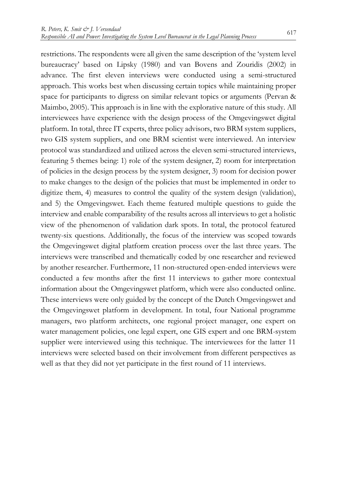restrictions. The respondents were all given the same description of the 'system level bureaucracy' based on Lipsky (1980) and van Bovens and Zouridis (2002) in advance. The first eleven interviews were conducted using a semi-structured approach. This works best when discussing certain topics while maintaining proper space for participants to digress on similar relevant topics or arguments (Pervan & Maimbo, 2005). This approach is in line with the explorative nature of this study. All interviewees have experience with the design process of the Omgevingswet digital platform. In total, three IT experts, three policy advisors, two BRM system suppliers, two GIS system suppliers, and one BRM scientist were interviewed. An interview protocol was standardized and utilized across the eleven semi-structured interviews, featuring 5 themes being: 1) role of the system designer, 2) room for interpretation of policies in the design process by the system designer, 3) room for decision power to make changes to the design of the policies that must be implemented in order to digitize them, 4) measures to control the quality of the system design (validation), and 5) the Omgevingswet. Each theme featured multiple questions to guide the interview and enable comparability of the results across all interviews to get a holistic view of the phenomenon of validation dark spots. In total, the protocol featured twenty-six questions. Additionally, the focus of the interview was scoped towards the Omgevingswet digital platform creation process over the last three years. The interviews were transcribed and thematically coded by one researcher and reviewed by another researcher. Furthermore, 11 non-structured open-ended interviews were conducted a few months after the first 11 interviews to gather more contextual information about the Omgevingswet platform, which were also conducted online. These interviews were only guided by the concept of the Dutch Omgevingswet and the Omgevingswet platform in development. In total, four National programme managers, two platform architects, one regional project manager, one expert on water management policies, one legal expert, one GIS expert and one BRM-system supplier were interviewed using this technique. The interviewees for the latter 11 interviews were selected based on their involvement from different perspectives as well as that they did not yet participate in the first round of 11 interviews.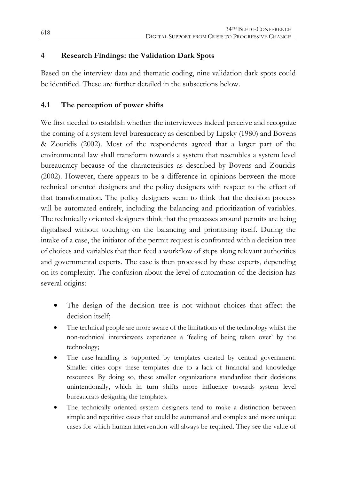# **4 Research Findings: the Validation Dark Spots**

Based on the interview data and thematic coding, nine validation dark spots could be identified. These are further detailed in the subsections below.

# **4.1 The perception of power shifts**

We first needed to establish whether the interviewees indeed perceive and recognize the coming of a system level bureaucracy as described by Lipsky (1980) and Bovens & Zouridis (2002). Most of the respondents agreed that a larger part of the environmental law shall transform towards a system that resembles a system level bureaucracy because of the characteristics as described by Bovens and Zouridis (2002). However, there appears to be a difference in opinions between the more technical oriented designers and the policy designers with respect to the effect of that transformation. The policy designers seem to think that the decision process will be automated entirely, including the balancing and prioritization of variables. The technically oriented designers think that the processes around permits are being digitalised without touching on the balancing and prioritising itself. During the intake of a case, the initiator of the permit request is confronted with a decision tree of choices and variables that then feed a workflow of steps along relevant authorities and governmental experts. The case is then processed by these experts, depending on its complexity. The confusion about the level of automation of the decision has several origins:

- The design of the decision tree is not without choices that affect the decision itself;
- The technical people are more aware of the limitations of the technology whilst the non-technical interviewees experience a 'feeling of being taken over' by the technology;
- The case-handling is supported by templates created by central government. Smaller cities copy these templates due to a lack of financial and knowledge resources. By doing so, these smaller organizations standardize their decisions unintentionally, which in turn shifts more influence towards system level bureaucrats designing the templates.
- The technically oriented system designers tend to make a distinction between simple and repetitive cases that could be automated and complex and more unique cases for which human intervention will always be required. They see the value of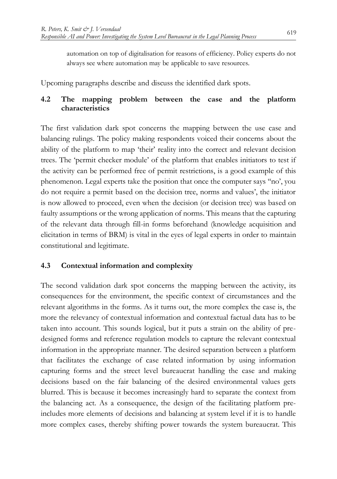automation on top of digitalisation for reasons of efficiency. Policy experts do not always see where automation may be applicable to save resources.

Upcoming paragraphs describe and discuss the identified dark spots.

# **4.2 The mapping problem between the case and the platform characteristics**

The first validation dark spot concerns the mapping between the use case and balancing rulings. The policy making respondents voiced their concerns about the ability of the platform to map 'their' reality into the correct and relevant decision trees. The 'permit checker module' of the platform that enables initiators to test if the activity can be performed free of permit restrictions, is a good example of this phenomenon. Legal experts take the position that once the computer says ''no', you do not require a permit based on the decision tree, norms and values', the initiator is now allowed to proceed, even when the decision (or decision tree) was based on faulty assumptions or the wrong application of norms. This means that the capturing of the relevant data through fill-in forms beforehand (knowledge acquisition and elicitation in terms of BRM) is vital in the eyes of legal experts in order to maintain constitutional and legitimate.

# **4.3 Contextual information and complexity**

The second validation dark spot concerns the mapping between the activity, its consequences for the environment, the specific context of circumstances and the relevant algorithms in the forms. As it turns out, the more complex the case is, the more the relevancy of contextual information and contextual factual data has to be taken into account. This sounds logical, but it puts a strain on the ability of predesigned forms and reference regulation models to capture the relevant contextual information in the appropriate manner. The desired separation between a platform that facilitates the exchange of case related information by using information capturing forms and the street level bureaucrat handling the case and making decisions based on the fair balancing of the desired environmental values gets blurred. This is because it becomes increasingly hard to separate the context from the balancing act. As a consequence, the design of the facilitating platform preincludes more elements of decisions and balancing at system level if it is to handle more complex cases, thereby shifting power towards the system bureaucrat. This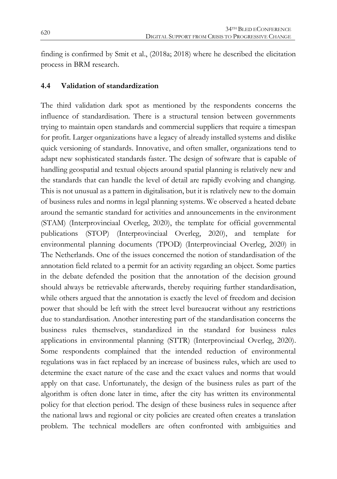finding is confirmed by Smit et al., (2018a; 2018) where he described the elicitation process in BRM research.

#### **4.4 Validation of standardization**

The third validation dark spot as mentioned by the respondents concerns the influence of standardisation. There is a structural tension between governments trying to maintain open standards and commercial suppliers that require a timespan for profit. Larger organizations have a legacy of already installed systems and dislike quick versioning of standards. Innovative, and often smaller, organizations tend to adapt new sophisticated standards faster. The design of software that is capable of handling geospatial and textual objects around spatial planning is relatively new and the standards that can handle the level of detail are rapidly evolving and changing. This is not unusual as a pattern in digitalisation, but it is relatively new to the domain of business rules and norms in legal planning systems. We observed a heated debate around the semantic standard for activities and announcements in the environment (STAM) (Interprovinciaal Overleg, 2020), the template for official governmental publications (STOP) (Interprovinciaal Overleg, 2020), and template for environmental planning documents (TPOD) (Interprovinciaal Overleg, 2020) in The Netherlands. One of the issues concerned the notion of standardisation of the annotation field related to a permit for an activity regarding an object. Some parties in the debate defended the position that the annotation of the decision ground should always be retrievable afterwards, thereby requiring further standardisation, while others argued that the annotation is exactly the level of freedom and decision power that should be left with the street level bureaucrat without any restrictions due to standardisation. Another interesting part of the standardisation concerns the business rules themselves, standardized in the standard for business rules applications in environmental planning (STTR) (Interprovinciaal Overleg, 2020). Some respondents complained that the intended reduction of environmental regulations was in fact replaced by an increase of business rules, which are used to determine the exact nature of the case and the exact values and norms that would apply on that case. Unfortunately, the design of the business rules as part of the algorithm is often done later in time, after the city has written its environmental policy for that election period. The design of these business rules in sequence after the national laws and regional or city policies are created often creates a translation problem. The technical modellers are often confronted with ambiguities and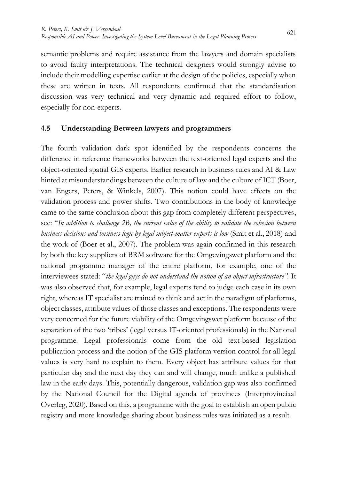semantic problems and require assistance from the lawyers and domain specialists to avoid faulty interpretations. The technical designers would strongly advise to include their modelling expertise earlier at the design of the policies, especially when these are written in texts. All respondents confirmed that the standardisation discussion was very technical and very dynamic and required effort to follow, especially for non-experts.

#### **4.5 Understanding Between lawyers and programmers**

The fourth validation dark spot identified by the respondents concerns the difference in reference frameworks between the text-oriented legal experts and the object-oriented spatial GIS experts. Earlier research in business rules and AI & Law hinted at misunderstandings between the culture of law and the culture of ICT (Boer, van Engers, Peters, & Winkels, 2007). This notion could have effects on the validation process and power shifts. Two contributions in the body of knowledge came to the same conclusion about this gap from completely different perspectives, see: "*In addition to challenge 2B, the current value of the ability to validate the cohesion between business decisions and business logic by legal subject-matter experts is low* (Smit et al., 2018) and the work of (Boer et al., 2007). The problem was again confirmed in this research by both the key suppliers of BRM software for the Omgevingswet platform and the national programme manager of the entire platform, for example, one of the interviewees stated: "*the legal guys do not understand the notion of an object infrastructure".* It was also observed that, for example, legal experts tend to judge each case in its own right, whereas IT specialist are trained to think and act in the paradigm of platforms, object classes, attribute values of those classes and exceptions. The respondents were very concerned for the future viability of the Omgevingswet platform because of the separation of the two 'tribes' (legal versus IT-oriented professionals) in the National programme. Legal professionals come from the old text-based legislation publication process and the notion of the GIS platform version control for all legal values is very hard to explain to them. Every object has attribute values for that particular day and the next day they can and will change, much unlike a published law in the early days. This, potentially dangerous, validation gap was also confirmed by the National Council for the Digital agenda of provinces (Interprovinciaal Overleg, 2020). Based on this, a programme with the goal to establish an open public registry and more knowledge sharing about business rules was initiated as a result.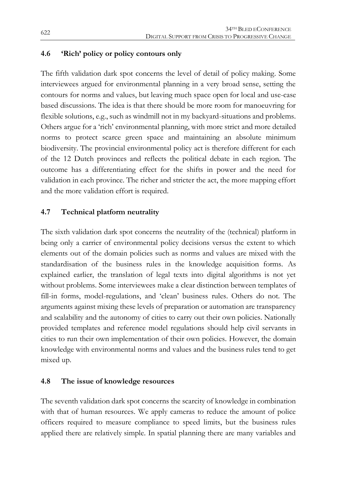#### **4.6 'Rich' policy or policy contours only**

The fifth validation dark spot concerns the level of detail of policy making. Some interviewees argued for environmental planning in a very broad sense, setting the contours for norms and values, but leaving much space open for local and use-case based discussions. The idea is that there should be more room for manoeuvring for flexible solutions, e.g., such as windmill not in my backyard-situations and problems. Others argue for a 'rich' environmental planning, with more strict and more detailed norms to protect scarce green space and maintaining an absolute minimum biodiversity. The provincial environmental policy act is therefore different for each of the 12 Dutch provinces and reflects the political debate in each region. The outcome has a differentiating effect for the shifts in power and the need for validation in each province. The richer and stricter the act, the more mapping effort and the more validation effort is required.

#### **4.7 Technical platform neutrality**

The sixth validation dark spot concerns the neutrality of the (technical) platform in being only a carrier of environmental policy decisions versus the extent to which elements out of the domain policies such as norms and values are mixed with the standardisation of the business rules in the knowledge acquisition forms. As explained earlier, the translation of legal texts into digital algorithms is not yet without problems. Some interviewees make a clear distinction between templates of fill-in forms, model-regulations, and 'clean' business rules. Others do not. The arguments against mixing these levels of preparation or automation are transparency and scalability and the autonomy of cities to carry out their own policies. Nationally provided templates and reference model regulations should help civil servants in cities to run their own implementation of their own policies. However, the domain knowledge with environmental norms and values and the business rules tend to get mixed up.

#### **4.8 The issue of knowledge resources**

The seventh validation dark spot concerns the scarcity of knowledge in combination with that of human resources. We apply cameras to reduce the amount of police officers required to measure compliance to speed limits, but the business rules applied there are relatively simple. In spatial planning there are many variables and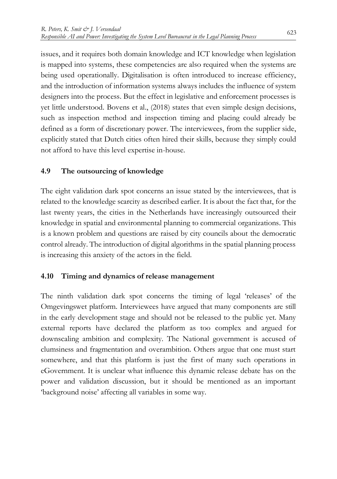issues, and it requires both domain knowledge and ICT knowledge when legislation is mapped into systems, these competencies are also required when the systems are being used operationally. Digitalisation is often introduced to increase efficiency, and the introduction of information systems always includes the influence of system designers into the process. But the effect in legislative and enforcement processes is yet little understood. Bovens et al., (2018) states that even simple design decisions, such as inspection method and inspection timing and placing could already be defined as a form of discretionary power. The interviewees, from the supplier side, explicitly stated that Dutch cities often hired their skills, because they simply could not afford to have this level expertise in-house.

# **4.9 The outsourcing of knowledge**

The eight validation dark spot concerns an issue stated by the interviewees, that is related to the knowledge scarcity as described earlier. It is about the fact that, for the last twenty years, the cities in the Netherlands have increasingly outsourced their knowledge in spatial and environmental planning to commercial organizations. This is a known problem and questions are raised by city councils about the democratic control already. The introduction of digital algorithms in the spatial planning process is increasing this anxiety of the actors in the field.

# **4.10 Timing and dynamics of release management**

The ninth validation dark spot concerns the timing of legal 'releases' of the Omgevingswet platform. Interviewees have argued that many components are still in the early development stage and should not be released to the public yet. Many external reports have declared the platform as too complex and argued for downscaling ambition and complexity. The National government is accused of clumsiness and fragmentation and overambition. Others argue that one must start somewhere, and that this platform is just the first of many such operations in eGovernment. It is unclear what influence this dynamic release debate has on the power and validation discussion, but it should be mentioned as an important 'background noise' affecting all variables in some way.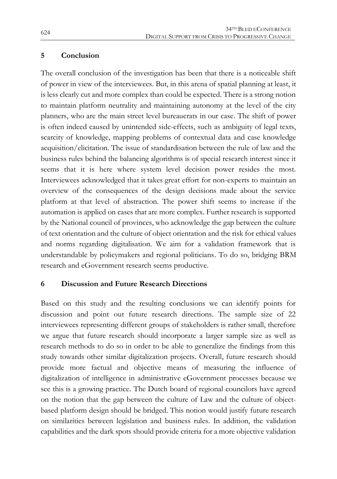#### **5 Conclusion**

The overall conclusion of the investigation has been that there is a noticeable shift of power in view of the interviewees. But, in this arena of spatial planning at least, it is less clearly cut and more complex than could be expected. There is a strong notion to maintain platform neutrality and maintaining autonomy at the level of the city planners, who are the main street level bureaucrats in our case. The shift of power is often indeed caused by unintended side-effects, such as ambiguity of legal texts, scarcity of knowledge, mapping problems of contextual data and case knowledge acquisition/elicitation. The issue of standardisation between the rule of law and the business rules behind the balancing algorithms is of special research interest since it seems that it is here where system level decision power resides the most. Interviewees acknowledged that it takes great effort for non-experts to maintain an overview of the consequences of the design decisions made about the service platform at that level of abstraction. The power shift seems to increase if the automation is applied on cases that are more complex. Further research is supported by the National council of provinces, who acknowledge the gap between the culture of text orientation and the culture of object orientation and the risk for ethical values and norms regarding digitalisation. We aim for a validation framework that is understandable by policymakers and regional politicians. To do so, bridging BRM research and eGovernment research seems productive.

# **6 Discussion and Future Research Directions**

Based on this study and the resulting conclusions we can identify points for discussion and point out future research directions. The sample size of 22 interviewees representing different groups of stakeholders is rather small, therefore we argue that future research should incorporate a larger sample size as well as research methods to do so in order to be able to generalize the findings from this study towards other similar digitalization projects. Overall, future research should provide more factual and objective means of measuring the influence of digitalization of intelligence in administrative eGovernment processes because we see this is a growing practice. The Dutch board of regional councilors have agreed on the notion that the gap between the culture of Law and the culture of objectbased platform design should be bridged. This notion would justify future research on similarities between legislation and business rules. In addition, the validation capabilities and the dark spots should provide criteria for a more objective validation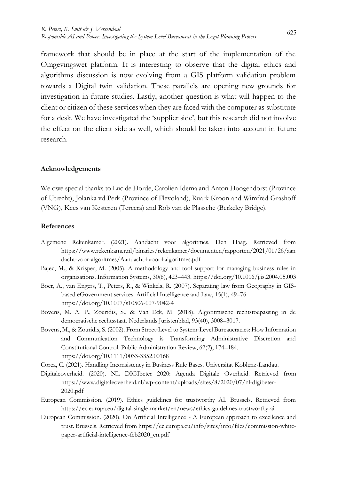framework that should be in place at the start of the implementation of the Omgevingswet platform. It is interesting to observe that the digital ethics and algorithms discussion is now evolving from a GIS platform validation problem towards a Digital twin validation. These parallels are opening new grounds for investigation in future studies. Lastly, another question is what will happen to the client or citizen of these services when they are faced with the computer as substitute for a desk. We have investigated the 'supplier side', but this research did not involve the effect on the client side as well, which should be taken into account in future research.

#### **Acknowledgements**

We owe special thanks to Luc de Horde, Carolien Idema and Anton Hoogendorst (Province of Utrecht), Jolanka vd Perk (Province of Flevoland), Ruark Kroon and Wimfred Grashoff (VNG), Kees van Kesteren (Tercera) and Rob van de Plassche (Berkeley Bridge).

#### **References**

- Algemene Rekenkamer. (2021). Aandacht voor algoritmes. Den Haag. Retrieved from https://www.rekenkamer.nl/binaries/rekenkamer/documenten/rapporten/2021/01/26/aan dacht-voor-algoritmes/Aandacht+voor+algoritmes.pdf
- Bajec, M., & Krisper, M. (2005). A methodology and tool support for managing business rules in organisations. Information Systems, 30(6), 423–443. https://doi.org/10.1016/j.is.2004.05.003
- Boer, A., van Engers, T., Peters, R., & Winkels, R. (2007). Separating law from Geography in GISbased eGovernment services. Artificial Intelligence and Law, 15(1), 49–76. https://doi.org/10.1007/s10506-007-9042-4
- Bovens, M. A. P., Zouridis, S., & Van Eck, M. (2018). Algoritmische rechtstoepassing in de democratische rechtsstaat. Nederlands Juristenblad, 93(40), 3008–3017.
- Bovens, M., & Zouridis, S. (2002). From Street‐Level to System‐Level Bureaucracies: How Information and Communication Technology is Transforming Administrative Discretion and Constitutional Control. Public Administration Review, 62(2), 174–184. https://doi.org/10.1111/0033-3352.00168
- Corea, C. (2021). Handling Inconsistency in Business Rule Bases. Universitat Koblenz-Landau.
- Digitaleoverheid. (2020). NL DIGIbeter 2020: Agenda Digitale Overheid. Retrieved from https://www.digitaleoverheid.nl/wp-content/uploads/sites/8/2020/07/nl-digibeter-2020.pdf
- European Commission. (2019). Ethics guidelines for trustworthy AI. Brussels. Retrieved from https://ec.europa.eu/digital-single-market/en/news/ethics-guidelines-trustworthy-ai
- European Commission. (2020). On Artificial Intelligence A European approach to excellence and trust. Brussels. Retrieved from https://ec.europa.eu/info/sites/info/files/commission-whitepaper-artificial-intelligence-feb2020\_en.pdf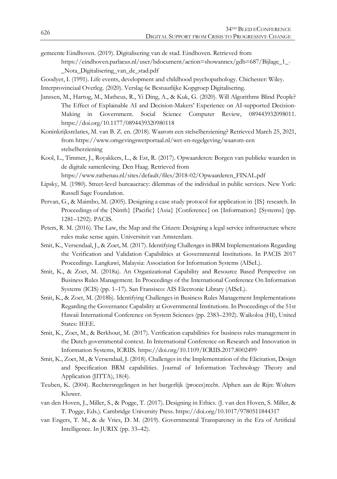- gemeente Eindhoven. (2019). Digitalisering van de stad. Eindhoven. Retrieved from https://eindhoven.parlaeus.nl/user/bdocument/action=showannex/gdb=687/Bijlage\_1\_- \_Nota\_Digitalisering\_van\_de\_stad.pdf
- Goodyer, I. (1991). Life events, development and childhood psychopathology. Chichester: Wiley.
- Interprovinciaal Overleg. (2020). Verslag 6e Bestuurlijke Kopgroep Digitalisering.
- Janssen, M., Hartog, M., Matheus, R., Yi Ding, A., & Kuk, G. (2020). Will Algorithms Blind People? The Effect of Explainable AI and Decision-Makers' Experience on AI-supported Decision-Making in Government. Social Science Computer Review, 089443932098011. https://doi.org/10.1177/0894439320980118
- Koninkrijksrelaties, M. van B. Z. en. (2018). Waarom een stelselherziening? Retrieved March 25, 2021, from https://www.omgevingswetportaal.nl/wet-en-regelgeving/waarom-een stelselherziening
- Kool, L., Timmer, J., Royakkers, L., & Est, R. (2017). Opwaarderen: Borgen van publieke waarden in de digitale samenleving. Den Haag. Retrieved from https://www.rathenau.nl/sites/default/files/2018-02/Opwaarderen\_FINAL.pdf
- Lipsky, M. (1980). Street-level bureaucracy: dilemmas of the individual in public services. New York: Russell Sage Foundation.
- Pervan, G., & Maimbo, M. (2005). Designing a case study protocol for application in {IS} research. In Proceedings of the {Ninth} {Pacific} {Asia} {Conference} on {Information} {Systems} (pp. 1281–1292). PACIS.
- Peters, R. M. (2016). The Law, the Map and the Citizen: Designing a legal service infrastructure where rules make sense again. Universiteit van Amsterdam.
- Smit, K., Versendaal, J., & Zoet, M. (2017). Identifying Challenges in BRM Implementations Regarding the Verification and Validation Capabilities at Governmental Institutions. In PACIS 2017 Proceedings. Langkawi, Malaysia: Association for Information Systems (AISeL).
- Smit, K., & Zoet, M. (2018a). An Organizational Capability and Resource Based Perspective on Business Rules Management. In Proceedings of the International Conference On Information Systems (ICIS) (pp. 1–17). San Fransisco: AIS Electronic Library (AISeL).
- Smit, K., & Zoet, M. (2018b). Identifying Challenges in Business Rules Management Implementations Regarding the Governance Capability at Governmental Institutions. In Proceedings of the 51st Hawaii International Conference on System Sciences (pp. 2383–2392). Waikoloa (HI), United States: IEEE.
- Smit, K., Zoet, M., & Berkhout, M. (2017). Verification capabilities for business rules management in the Dutch governmental context. In International Conference on Research and Innovation in Information Systems, ICRIIS. https://doi.org/10.1109/ICRIIS.2017.8002499
- Smit, K., Zoet, M., & Versendaal, J. (2018). Challenges in the Implementation of the Elicitation, Design and Specification BRM capabilities. Journal of Information Technology Theory and Application (JITTA), 18(4).
- Teuben, K. (2004). Rechtersregelingen in het burgerlijk (proces)recht. Alphen aan de Rijn: Wolters Kluwer.
- van den Hoven, J., Miller, S., & Pogge, T. (2017). Designing in Ethics. (J. van den Hoven, S. Miller, & T. Pogge, Eds.). Cambridge University Press. https://doi.org/10.1017/9780511844317
- van Engers, T. M., & de Vries, D. M. (2019). Governmental Transparency in the Era of Artificial Intelligence. In JURIX (pp. 33–42).